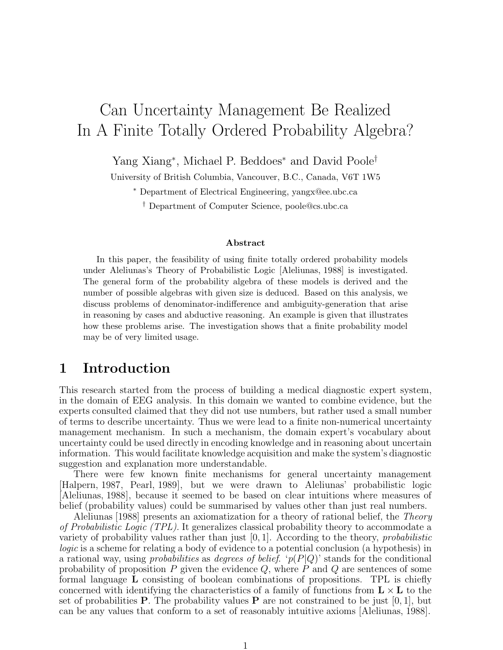# Can Uncertainty Management Be Realized In A Finite Totally Ordered Probability Algebra?

Yang Xiang<sup>∗</sup>, Michael P. Beddoes<sup>∗</sup> and David Poole†

University of British Columbia, Vancouver, B.C., Canada, V6T 1W5

<sup>∗</sup> Department of Electrical Engineering, yangx@ee.ubc.ca

† Department of Computer Science, poole@cs.ubc.ca

#### **Abstract**

In this paper, the feasibility of using finite totally ordered probability models under Aleliunas's Theory of Probabilistic Logic [Aleliunas, 1988] is investigated. The general form of the probability algebra of these models is derived and the number of possible algebras with given size is deduced. Based on this analysis, we discuss problems of denominator-indifference and ambiguity-generation that arise in reasoning by cases and abductive reasoning. An example is given that illustrates how these problems arise. The investigation shows that a finite probability model may be of very limited usage.

### **1 Introduction**

This research started from the process of building a medical diagnostic expert system, in the domain of EEG analysis. In this domain we wanted to combine evidence, but the experts consulted claimed that they did not use numbers, but rather used a small number of terms to describe uncertainty. Thus we were lead to a finite non-numerical uncertainty management mechanism. In such a mechanism, the domain expert's vocabulary about uncertainty could be used directly in encoding knowledge and in reasoning about uncertain information. This would facilitate knowledge acquisition and make the system's diagnostic suggestion and explanation more understandable.

There were few known finite mechanisms for general uncertainty management [Halpern, 1987, Pearl, 1989], but we were drawn to Aleliunas' probabilistic logic [Aleliunas, 1988], because it seemed to be based on clear intuitions where measures of belief (probability values) could be summarised by values other than just real numbers.

Aleliunas [1988] presents an axiomatization for a theory of rational belief, the *Theory of Probabilistic Logic (TPL)*. It generalizes classical probability theory to accommodate a variety of probability values rather than just [0*,* 1]. According to the theory, *probabilistic logic* is a scheme for relating a body of evidence to a potential conclusion (a hypothesis) in a rational way, using *probabilities* as *degrees of belief*. '*p*(*P*|*Q*)' stands for the conditional probability of proposition *P* given the evidence *Q*, where *P* and *Q* are sentences of some formal language **L** consisting of boolean combinations of propositions. TPL is chiefly concerned with identifying the characteristics of a family of functions from  $\mathbf{L} \times \mathbf{L}$  to the set of probabilities **P**. The probability values **P** are not constrained to be just  $[0, 1]$ , but can be any values that conform to a set of reasonably intuitive axioms [Aleliunas, 1988].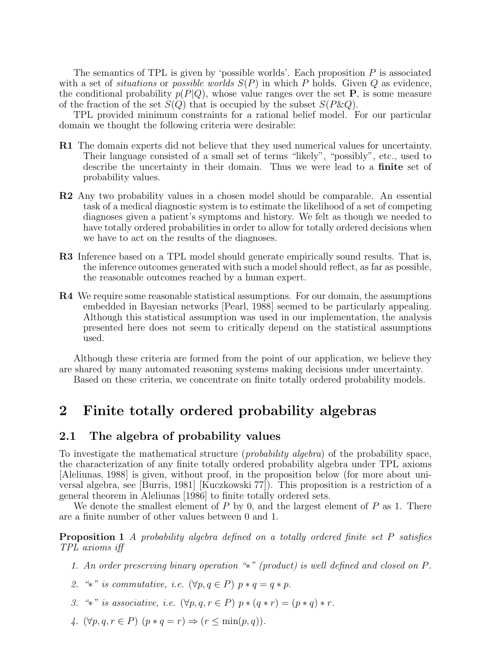The semantics of TPL is given by 'possible worlds'. Each proposition *P* is associated with a set of *situations* or *possible worlds S*(*P*) in which *P* holds. Given *Q* as evidence, the conditional probability  $p(P|Q)$ , whose value ranges over the set **P**, is some measure of the fraction of the set  $S(Q)$  that is occupied by the subset  $S(P \& Q)$ .

TPL provided minimum constraints for a rational belief model. For our particular domain we thought the following criteria were desirable:

- **R1** The domain experts did not believe that they used numerical values for uncertainty. Their language consisted of a small set of terms "likely", "possibly", etc., used to describe the uncertainty in their domain. Thus we were lead to a **finite** set of probability values.
- **R2** Any two probability values in a chosen model should be comparable. An essential task of a medical diagnostic system is to estimate the likelihood of a set of competing diagnoses given a patient's symptoms and history. We felt as though we needed to have totally ordered probabilities in order to allow for totally ordered decisions when we have to act on the results of the diagnoses.
- **R3** Inference based on a TPL model should generate empirically sound results. That is, the inference outcomes generated with such a model should reflect, as far as possible, the reasonable outcomes reached by a human expert.
- **R4** We require some reasonable statistical assumptions. For our domain, the assumptions embedded in Bayesian networks [Pearl, 1988] seemed to be particularly appealing. Although this statistical assumption was used in our implementation, the analysis presented here does not seem to critically depend on the statistical assumptions used.

Although these criteria are formed from the point of our application, we believe they are shared by many automated reasoning systems making decisions under uncertainty.

Based on these criteria, we concentrate on finite totally ordered probability models.

### **2 Finite totally ordered probability algebras**

#### **2.1 The algebra of probability values**

To investigate the mathematical structure (*probability algebra*) of the probability space, the characterization of any finite totally ordered probability algebra under TPL axioms [Aleliunas, 1988] is given, without proof, in the proposition below (for more about universal algebra, see [Burris, 1981] [Kuczkowski 77]). This proposition is a restriction of a general theorem in Aleliunas [1986] to finite totally ordered sets.

We denote the smallest element of *P* by 0, and the largest element of *P* as 1. There are a finite number of other values between 0 and 1.

**Proposition 1** *A probability algebra defined on a totally ordered finite set P satisfies TPL axioms iff*

- *1. An order preserving binary operation "*∗*" (product) is well defined and closed on P.*
- 2. "\*" *is commutative, i.e.*  $(\forall p, q \in P)$   $p * q = q * p$ .
- *3.* "\*" is associative, i.e.  $(\forall p, q, r \in P)$   $p * (q * r) = (p * q) * r$ .
- *4.*  $(\forall p, q, r \in P)$   $(p * q = r) \Rightarrow (r \le \min(p, q))$ .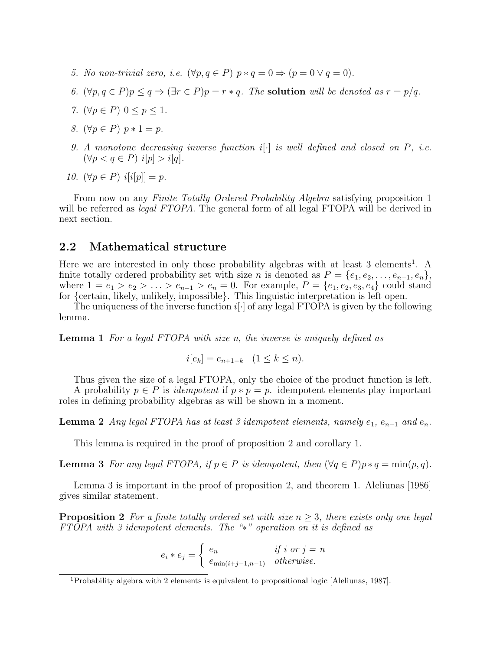- *5. No non-trivial zero, i.e.*  $(\forall p, q \in P)$   $p * q = 0 \Rightarrow (p = 0 \lor q = 0)$ *.*
- *6.*  $(\forall p, q \in P)p \leq q \Rightarrow (\exists r \in P)p = r * q$ *. The* **solution** *will be denoted as*  $r = p/q$ *.*
- *7.*  $(\forall p \in P) \ 0 \leq p \leq 1$ .
- *8.*  $(\forall p \in P)$   $p * 1 = p$ .
- *9. A monotone decreasing inverse function i*[·] *is well defined and closed on P, i.e.*  $(\forall p < q \in P)$   $i[p] > i[q]$ .
- *10.*  $(\forall p \in P) i[i[p]] = p$ *.*

From now on any *Finite Totally Ordered Probability Algebra* satisfying proposition 1 will be referred as *legal FTOPA*. The general form of all legal FTOPA will be derived in next section.

#### **2.2 Mathematical structure**

Here we are interested in only those probability algebras with at least 3 elements<sup>1</sup>. A finite totally ordered probability set with size *n* is denoted as  $P = \{e_1, e_2, \ldots, e_{n-1}, e_n\},\$ where  $1 = e_1 > e_2 > ... > e_{n-1} > e_n = 0$ . For example,  $P = \{e_1, e_2, e_3, e_4\}$  could stand for {certain, likely, unlikely, impossible}. This linguistic interpretation is left open.

The uniqueness of the inverse function *i*[·] of any legal FTOPA is given by the following lemma.

**Lemma 1** *For a legal FTOPA with size n, the inverse is uniquely defined as*

$$
i[e_k] = e_{n+1-k} \quad (1 \le k \le n).
$$

Thus given the size of a legal FTOPA, only the choice of the product function is left. A probability  $p \in P$  is *idempotent* if  $p * p = p$ , idempotent elements play important roles in defining probability algebras as will be shown in a moment.

**Lemma 2** *Any legal FTOPA has at least 3 idempotent elements, namely*  $e_1$ ,  $e_{n-1}$  *and*  $e_n$ .

This lemma is required in the proof of proposition 2 and corollary 1.

**Lemma 3** For any legal FTOPA, if  $p \in P$  is idempotent, then  $(\forall q \in P)p * q = \min(p, q)$ .

Lemma 3 is important in the proof of proposition 2, and theorem 1. Aleliunas [1986] gives similar statement.

**Proposition 2** *For a finite totally ordered set with size n* ≥ 3*, there exists only one legal FTOPA with 3 idempotent elements. The "*∗*" operation on it is defined as*

$$
e_i * e_j = \begin{cases} e_n & \text{if } i \text{ or } j = n \\ e_{\min(i+j-1,n-1)} & \text{otherwise.} \end{cases}
$$

<sup>1</sup>Probability algebra with 2 elements is equivalent to propositional logic [Aleliunas, 1987].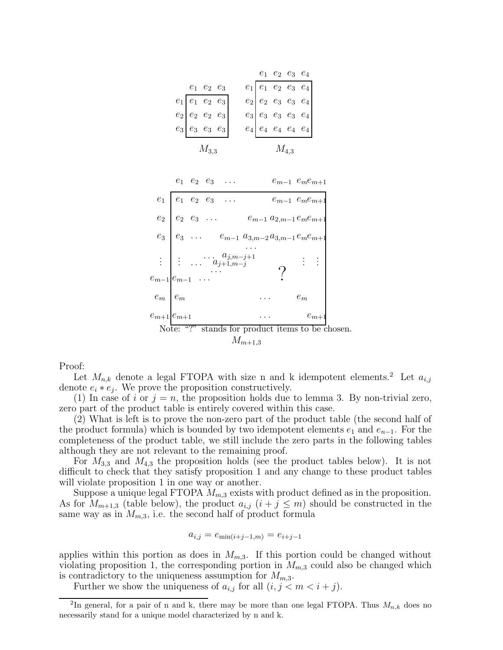

Proof:

Let  $M_{n,k}$  denote a legal FTOPA with size n and k idempotent elements.<sup>2</sup> Let  $a_{i,j}$ denote  $e_i * e_j$ . We prove the proposition constructively.

(1) In case of *i* or  $j = n$ , the proposition holds due to lemma 3. By non-trivial zero, zero part of the product table is entirely covered within this case.

(2) What is left is to prove the non-zero part of the product table (the second half of the product formula) which is bounded by two idempotent elements *e*<sup>1</sup> and *e*n−1. For the completeness of the product table, we still include the zero parts in the following tables although they are not relevant to the remaining proof.

For  $M_{3,3}$  and  $M_{4,3}$  the proposition holds (see the product tables below). It is not difficult to check that they satisfy proposition 1 and any change to these product tables will violate proposition 1 in one way or another.

Suppose a unique legal FTOPA  $M_{m,3}$  exists with product defined as in the proposition. As for  $M_{m+1,3}$  (table below), the product  $a_{i,j}$   $(i + j \leq m)$  should be constructed in the same way as in  $M_{m,3}$ , i.e. the second half of product formula

$$
a_{i,j} = e_{\min(i+j-1,m)} = e_{i+j-1}
$$

applies within this portion as does in  $M_{m,3}$ . If this portion could be changed without violating proposition 1, the corresponding portion in  $M_{m,3}$  could also be changed which is contradictory to the uniqueness assumption for  $M_{m,3}$ .

Further we show the uniqueness of  $a_{i,j}$  for all  $(i, j < m < i + j)$ .

<sup>&</sup>lt;sup>2</sup>In general, for a pair of n and k, there may be more than one legal FTOPA. Thus  $M_{n,k}$  does no necessarily stand for a unique model characterized by n and k.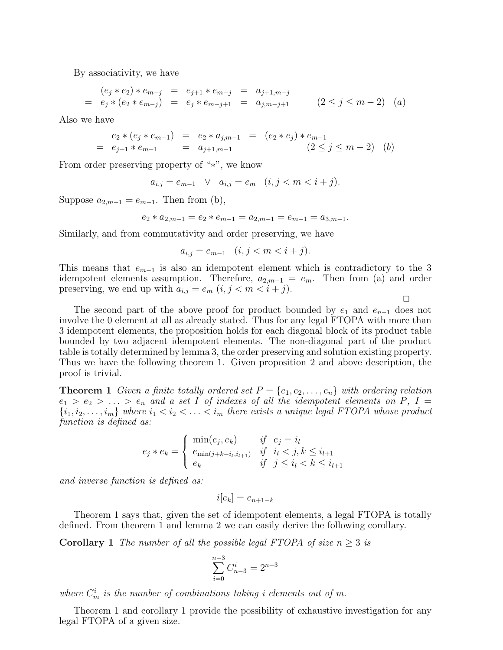By associativity, we have

$$
(e_j * e_2) * e_{m-j} = e_{j+1} * e_{m-j} = a_{j+1,m-j}
$$
  
=  $e_j * (e_2 * e_{m-j}) = e_j * e_{m-j+1} = a_{j,m-j+1}$   $(2 \le j \le m-2)$  (a)

Also we have

$$
e_2 * (e_j * e_{m-1}) = e_2 * a_{j,m-1} = (e_2 * e_j) * e_{m-1}
$$
  
=  $e_{j+1} * e_{m-1} = a_{j+1,m-1}$   $(2 \le j \le m-2)$  (b)

From order preserving property of "∗", we know

$$
a_{i,j} = e_{m-1} \quad \lor \quad a_{i,j} = e_m \quad (i, j < m < i+j).
$$

Suppose  $a_{2,m-1} = e_{m-1}$ . Then from (b),

$$
e_2 * a_{2,m-1} = e_2 * e_{m-1} = a_{2,m-1} = e_{m-1} = a_{3,m-1}.
$$

Similarly, and from commutativity and order preserving, we have

$$
a_{i,j} = e_{m-1} \quad (i, j < m < i+j).
$$

This means that *e*m−<sup>1</sup> is also an idempotent element which is contradictory to the 3 idempotent elements assumption. Therefore,  $a_{2,m-1} = e_m$ . Then from (a) and order preserving, we end up with  $a_{i,j} = e_m$   $(i, j < m < i + j)$ .

 $\Box$ 

The second part of the above proof for product bounded by *e*<sup>1</sup> and *e*n−<sup>1</sup> does not involve the 0 element at all as already stated. Thus for any legal FTOPA with more than 3 idempotent elements, the proposition holds for each diagonal block of its product table bounded by two adjacent idempotent elements. The non-diagonal part of the product table is totally determined by lemma 3, the order preserving and solution existing property. Thus we have the following theorem 1. Given proposition 2 and above description, the proof is trivial.

**Theorem 1** *Given a finite totally ordered set*  $P = \{e_1, e_2, \ldots, e_n\}$  *with ordering relation*  $e_1 > e_2 > \ldots > e_n$  and a set *I* of indexes of all the idempotent elements on *P*, *I* =  $\{i_1, i_2, \ldots, i_m\}$  where  $i_1 < i_2 < \ldots < i_m$  there exists a unique legal FTOPA whose product *function is defined as:*

$$
e_j * e_k = \begin{cases} \min(e_j, e_k) & \text{if } e_j = i_l \\ e_{\min(j+k-i_l, i_{l+1})} & \text{if } i_l < j, k \le i_{l+1} \\ e_k & \text{if } j \le i_l < k \le i_{l+1} \end{cases}
$$

*and inverse function is defined as:*

$$
i[e_k] = e_{n+1-k}
$$

Theorem 1 says that, given the set of idempotent elements, a legal FTOPA is totally defined. From theorem 1 and lemma 2 we can easily derive the following corollary.

**Corollary 1** *The number of all the possible legal FTOPA of size*  $n \geq 3$  *is* 

$$
\sum_{i=0}^{n-3} C_{n-3}^i = 2^{n-3}
$$

*where*  $C_m^i$  *is the number of combinations taking i elements out of m.* 

Theorem 1 and corollary 1 provide the possibility of exhaustive investigation for any legal FTOPA of a given size.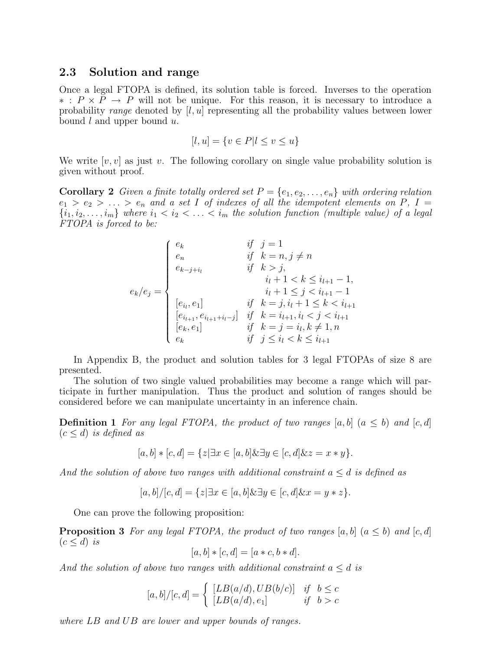#### **2.3 Solution and range**

Once a legal FTOPA is defined, its solution table is forced. Inverses to the operation ∗ : *P* × *P* → *P* will not be unique. For this reason, it is necessary to introduce a probability *range* denoted by [*l, u*] representing all the probability values between lower bound *l* and upper bound *u*.

$$
[l, u] = \{v \in P | l \le v \le u\}
$$

We write  $[v, v]$  as just *v*. The following corollary on single value probability solution is given without proof.

**Corollary 2** *Given a finite totally ordered set*  $P = \{e_1, e_2, \ldots, e_n\}$  *with ordering relation*  $e_1 > e_2 > \ldots > e_n$  and a set *I* of indexes of all the idempotent elements on *P*, *I* =  $\{i_1, i_2, \ldots, i_m\}$  where  $i_1 < i_2 < \ldots < i_m$  the solution function (multiple value) of a legal *FTOPA is forced to be:*

$$
e_k/e_j = \begin{cases} e_k & \text{if } j = 1 \\ e_n & \text{if } k = n, j \neq n \\ e_{k-j+i_l} & \text{if } k > j, \\ i_l + 1 < k \leq i_{l+1} - 1, \\ i_l + 1 \leq j < i_{l+1} - 1 \\ [e_{i_l}, e_1] & \text{if } k = j, i_l + 1 \leq k < i_{l+1} \\ [e_{i_{l+1}}, e_{i_{l+1}+i_{l}-j}] & \text{if } k = i_{l+1}, i_l < j < i_{l+1} \\ [e_k, e_1] & \text{if } k = j = i_l, k \neq 1, n \\ e_k & \text{if } j \leq i_l < k \leq i_{l+1} \end{cases}
$$

In Appendix B, the product and solution tables for 3 legal FTOPAs of size 8 are presented.

The solution of two single valued probabilities may become a range which will participate in further manipulation. Thus the product and solution of ranges should be considered before we can manipulate uncertainty in an inference chain.

**Definition 1** For any legal FTOPA, the product of two ranges  $[a, b]$   $(a \leq b)$  and  $[c, d]$  $(c \leq d)$  *is defined as* 

$$
[a, b] * [c, d] = \{z | \exists x \in [a, b] \& \exists y \in [c, d] \& z = x * y\}.
$$

*And the solution of above two ranges with additional constraint*  $a \leq d$  *is defined as* 

$$
[a, b]/[c, d] = \{z | \exists x \in [a, b] \& \exists y \in [c, d] \& x = y * z\}.
$$

One can prove the following proposition:

**Proposition 3** For any legal FTOPA, the product of two ranges  $[a, b]$   $(a \leq b)$  and  $[c, d]$  $(c \leq d)$  *is* 

$$
[a, b] * [c, d] = [a * c, b * d].
$$

And the solution of above two ranges with additional constraint  $a \leq d$  is

$$
[a,b]/[c,d] = \begin{cases} [LB(a/d),UB(b/c)] & \text{if} \quad b \le c \\ [LB(a/d), e_1] & \text{if} \quad b > c \end{cases}
$$

*where LB and UB are lower and upper bounds of ranges.*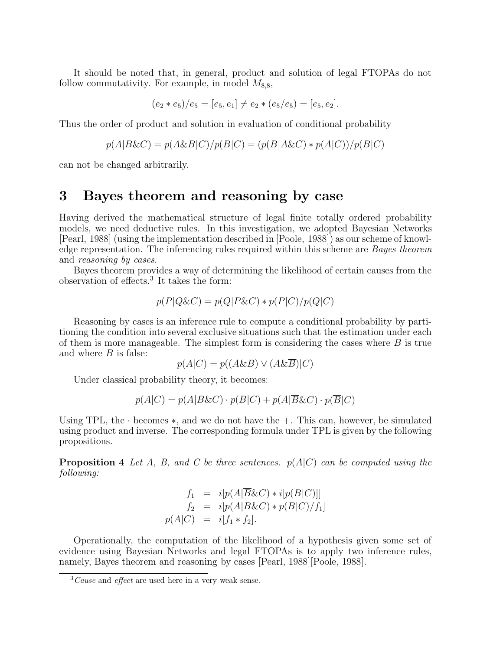It should be noted that, in general, product and solution of legal FTOPAs do not follow commutativity. For example, in model  $M_{8,8}$ ,

$$
(e_2 * e_5)/e_5 = [e_5, e_1] \neq e_2 * (e_5/e_5) = [e_5, e_2].
$$

Thus the order of product and solution in evaluation of conditional probability

$$
p(A|B\&C) = p(A\&B|C)/p(B|C) = (p(B|A\&C) * p(A|C))/p(B|C)
$$

can not be changed arbitrarily.

### **3 Bayes theorem and reasoning by case**

Having derived the mathematical structure of legal finite totally ordered probability models, we need deductive rules. In this investigation, we adopted Bayesian Networks [Pearl, 1988] (using the implementation described in [Poole, 1988]) as our scheme of knowledge representation. The inferencing rules required within this scheme are *Bayes theorem* and *reasoning by cases*.

Bayes theorem provides a way of determining the likelihood of certain causes from the observation of effects.<sup>3</sup> It takes the form:

$$
p(P|Q\&C) = p(Q|P\&C) * p(P|C)/p(Q|C)
$$

Reasoning by cases is an inference rule to compute a conditional probability by partitioning the condition into several exclusive situations such that the estimation under each of them is more manageable. The simplest form is considering the cases where *B* is true and where *B* is false:

$$
p(A|C) = p((A \& B) \lor (A \& \overline{B})|C)
$$

Under classical probability theory, it becomes:

$$
p(A|C) = p(A|B\&C) \cdot p(B|C) + p(A|\overline{B}\&C) \cdot p(\overline{B}|C)
$$

Using TPL, the  $\cdot$  becomes  $\ast$ , and we do not have the  $+$ . This can, however, be simulated using product and inverse. The corresponding formula under TPL is given by the following propositions.

**Proposition 4** *Let A, B, and C be three sentences. p*(*A*|*C*) *can be computed using the following:*

$$
f_1 = i[p(A|\overline{B}\&C) * i[p(B|C)]]
$$
  
\n
$$
f_2 = i[p(A|B\&C) * p(B|C)/f_1]
$$
  
\n
$$
p(A|C) = i[f_1 * f_2].
$$

Operationally, the computation of the likelihood of a hypothesis given some set of evidence using Bayesian Networks and legal FTOPAs is to apply two inference rules, namely, Bayes theorem and reasoning by cases [Pearl, 1988][Poole, 1988].

 $3 \text{Cause}$  and *effect* are used here in a very weak sense.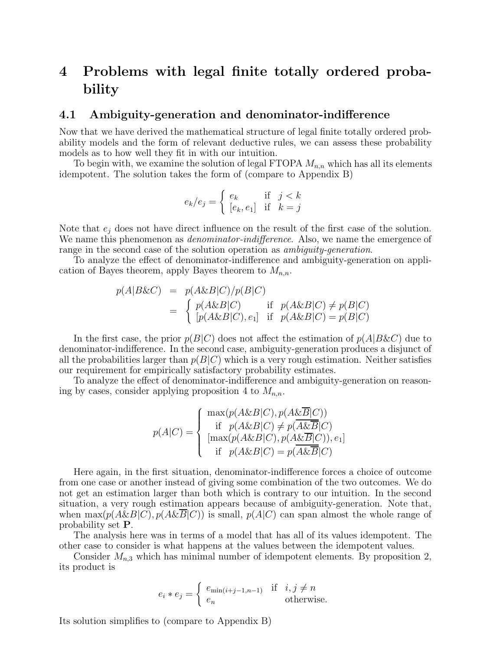## **4 Problems with legal finite totally ordered probability**

#### **4.1 Ambiguity-generation and denominator-indifference**

Now that we have derived the mathematical structure of legal finite totally ordered probability models and the form of relevant deductive rules, we can assess these probability models as to how well they fit in with our intuition.

To begin with, we examine the solution of legal FTOPA  $M_{n,n}$  which has all its elements idempotent. The solution takes the form of (compare to Appendix B)

$$
e_k/e_j = \left\{ \begin{array}{ll} e_k & \mbox{if} \quad j < k \\ \left[ e_k, e_1 \right] & \mbox{if} \quad k = j \end{array} \right.
$$

Note that *e*<sup>j</sup> does not have direct influence on the result of the first case of the solution. We name this phenomenon as *denominator-indifference*. Also, we name the emergence of range in the second case of the solution operation as *ambiguity-generation*.

To analyze the effect of denominator-indifference and ambiguity-generation on application of Bayes theorem, apply Bayes theorem to  $M_{n,n}$ .

$$
p(A|B\&C) = p(A\&B|C)/p(B|C)
$$
  
= 
$$
\begin{cases} p(A\&B|C) & \text{if } p(A\&B|C) \neq p(B|C) \\ [p(A\&B|C), e_1] & \text{if } p(A\&B|C) = p(B|C) \end{cases}
$$

In the first case, the prior  $p(B|C)$  does not affect the estimation of  $p(A|B\&C)$  due to denominator-indifference. In the second case, ambiguity-generation produces a disjunct of all the probabilities larger than  $p(B|C)$  which is a very rough estimation. Neither satisfies our requirement for empirically satisfactory probability estimates.

To analyze the effect of denominator-indifference and ambiguity-generation on reasoning by cases, consider applying proposition 4 to  $M_{n,n}$ .

$$
p(A|C) = \begin{cases} \max(p(A\&B|C), p(A\&\overline{B}|C)) \\ \text{if } p(A\&B|C) \neq p(\overline{A\&\overline{B}}|C) \\ [\max(p(A\&B|C), p(A\&\overline{B}|C)), e_1] \\ \text{if } p(A\&B|C) = p(\overline{A\&\overline{B}}|C) \end{cases}
$$

Here again, in the first situation, denominator-indifference forces a choice of outcome from one case or another instead of giving some combination of the two outcomes. We do not get an estimation larger than both which is contrary to our intuition. In the second situation, a very rough estimation appears because of ambiguity-generation. Note that, when  $\max(p(A\&B|C), p(A\&\overline{B}|C))$  is small,  $p(A|C)$  can span almost the whole range of probability set **P**.

The analysis here was in terms of a model that has all of its values idempotent. The other case to consider is what happens at the values between the idempotent values.

Consider  $M_{n,3}$  which has minimal number of idempotent elements. By proposition 2, its product is

$$
e_i * e_j = \begin{cases} e_{\min(i+j-1,n-1)} & \text{if } i, j \neq n \\ e_n & \text{otherwise.} \end{cases}
$$

Its solution simplifies to (compare to Appendix B)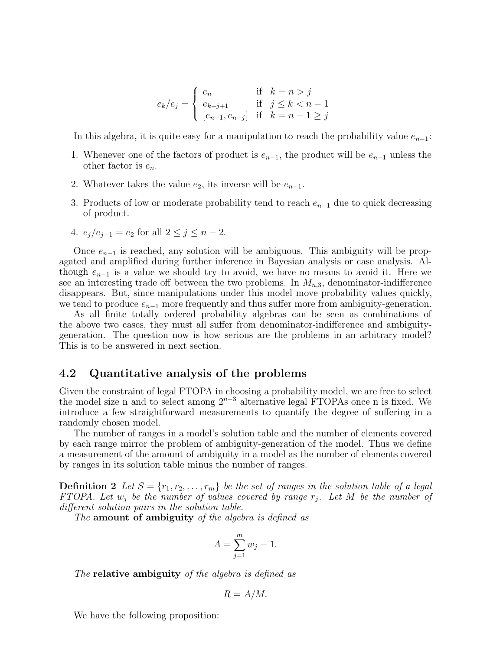$$
e_k/e_j = \begin{cases} e_n & \text{if } k = n > j \\ e_{k-j+1} & \text{if } j \le k < n-1 \\ [e_{n-1}, e_{n-j}] & \text{if } k = n-1 \ge j \end{cases}
$$

In this algebra, it is quite easy for a manipulation to reach the probability value  $e_{n-1}$ :

- 1. Whenever one of the factors of product is *e*n−1, the product will be *e*n−<sup>1</sup> unless the other factor is *e*n.
- 2. Whatever takes the value  $e_2$ , its inverse will be  $e_{n-1}$ .
- 3. Products of low or moderate probability tend to reach *e*n−<sup>1</sup> due to quick decreasing of product.
- 4.  $e_j/e_{j-1} = e_2$  for all  $2 \le j \le n-2$ .

Once *e*n−<sup>1</sup> is reached, any solution will be ambiguous. This ambiguity will be propagated and amplified during further inference in Bayesian analysis or case analysis. Although *e*n−<sup>1</sup> is a value we should try to avoid, we have no means to avoid it. Here we see an interesting trade off between the two problems. In  $M_{n,3}$ , denominator-indifference disappears. But, since manipulations under this model move probability values quickly, we tend to produce *e*n−<sup>1</sup> more frequently and thus suffer more from ambiguity-generation.

As all finite totally ordered probability algebras can be seen as combinations of the above two cases, they must all suffer from denominator-indifference and ambiguitygeneration. The question now is how serious are the problems in an arbitrary model? This is to be answered in next section.

#### **4.2 Quantitative analysis of the problems**

Given the constraint of legal FTOPA in choosing a probability model, we are free to select the model size n and to select among  $2^{n-3}$  alternative legal FTOPAs once n is fixed. We introduce a few straightforward measurements to quantify the degree of suffering in a randomly chosen model.

The number of ranges in a model's solution table and the number of elements covered by each range mirror the problem of ambiguity-generation of the model. Thus we define a measurement of the amount of ambiguity in a model as the number of elements covered by ranges in its solution table minus the number of ranges.

**Definition 2** Let  $S = \{r_1, r_2, \ldots, r_m\}$  be the set of ranges in the solution table of a legal *FTOPA. Let*  $w_i$  *be the number of values covered by range*  $r_j$ *. Let M be the number of different solution pairs in the solution table.*

*The* **amount of ambiguity** *of the algebra is defined as*

$$
A = \sum_{j=1}^{m} w_j - 1.
$$

*The* **relative ambiguity** *of the algebra is defined as*

$$
R = A/M.
$$

We have the following proposition: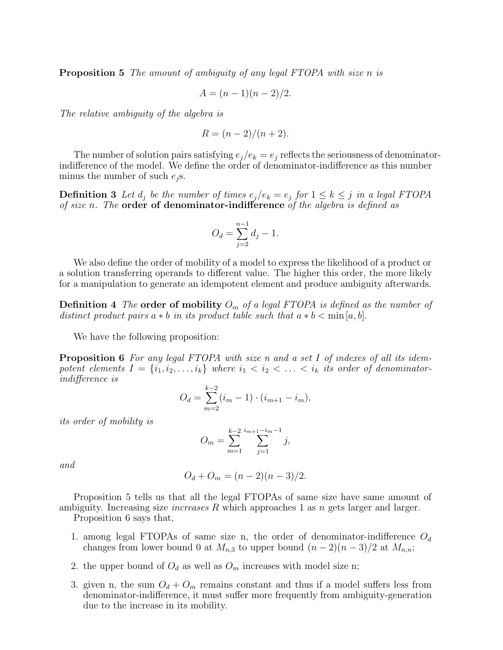**Proposition 5** *The amount of ambiguity of any legal FTOPA with size n is*

$$
A = (n-1)(n-2)/2.
$$

*The relative ambiguity of the algebra is*

$$
R = (n-2)/(n+2).
$$

The number of solution pairs satisfying  $e_j/e_k = e_j$  reflects the seriousness of denominatorindifference of the model. We define the order of denominator-indifference as this number minus the number of such  $e_i$ s.

**Definition 3** Let  $d_i$  be the number of times  $e_j/e_k = e_j$  for  $1 \leq k \leq j$  in a legal FTOPA *of size n. The* **order of denominator-indifference** *of the algebra is defined as*

$$
O_d = \sum_{j=2}^{n-1} d_j - 1.
$$

We also define the order of mobility of a model to express the likelihood of a product or a solution transferring operands to different value. The higher this order, the more likely for a manipulation to generate an idempotent element and produce ambiguity afterwards.

**Definition 4** *The* **order of mobility**  $O_m$  *of a legal FTOPA is defined as the number of distinct product pairs*  $a * b$  *in its product table such that*  $a * b < \min{a, b}$ .

We have the following proposition:

**Proposition 6** *For any legal FTOPA with size n and a set I of indexes of all its idempotent elements*  $I = \{i_1, i_2, \ldots, i_k\}$  *where*  $i_1 < i_2 < \ldots < i_k$  *its order of denominatorindifference is*

$$
O_d = \sum_{m=2}^{k-2} (i_m - 1) \cdot (i_{m+1} - i_m),
$$

*its order of mobility is*

$$
O_m = \sum_{m=1}^{k-2} \sum_{j=1}^{i_{m+1}-i_m-1} j,
$$

*and*

$$
O_d + O_m = (n-2)(n-3)/2.
$$

Proposition 5 tells us that all the legal FTOPAs of same size have same amount of ambiguity. Increasing size *increases R* which approaches 1 as *n* gets larger and larger.

Proposition 6 says that,

- 1. among legal FTOPAs of same size n, the order of denominator-indifference  $O_d$ changes from lower bound 0 at  $M_{n,3}$  to upper bound  $(n-2)(n-3)/2$  at  $M_{n,n}$ ;
- 2. the upper bound of  $O_d$  as well as  $O_m$  increases with model size n;
- 3. given n, the sum  $O_d + O_m$  remains constant and thus if a model suffers less from denominator-indifference, it must suffer more frequently from ambiguity-generation due to the increase in its mobility.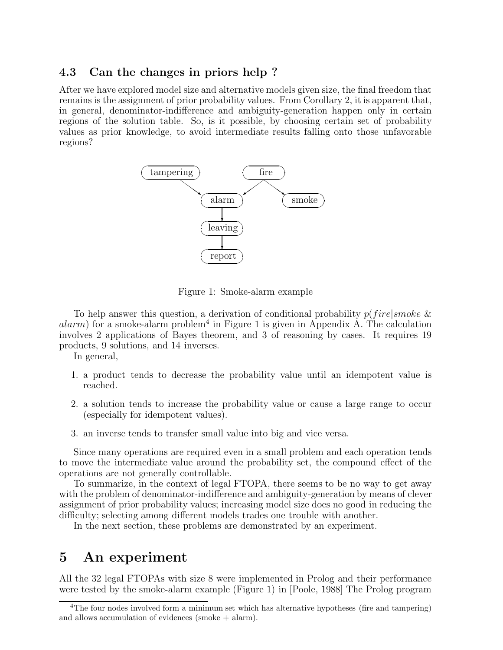#### **4.3 Can the changes in priors help ?**

After we have explored model size and alternative models given size, the final freedom that remains is the assignment of prior probability values. From Corollary 2, it is apparent that, in general, denominator-indifference and ambiguity-generation happen only in certain regions of the solution table. So, is it possible, by choosing certain set of probability values as prior knowledge, to avoid intermediate results falling onto those unfavorable regions?



Figure 1: Smoke-alarm example

To help answer this question, a derivation of conditional probability *p*(*f ire*|*smoke* &  $alarm$ ) for a smoke-alarm problem<sup>4</sup> in Figure 1 is given in Appendix A. The calculation involves 2 applications of Bayes theorem, and 3 of reasoning by cases. It requires 19 products, 9 solutions, and 14 inverses.

In general,

- 1. a product tends to decrease the probability value until an idempotent value is reached.
- 2. a solution tends to increase the probability value or cause a large range to occur (especially for idempotent values).
- 3. an inverse tends to transfer small value into big and vice versa.

Since many operations are required even in a small problem and each operation tends to move the intermediate value around the probability set, the compound effect of the operations are not generally controllable.

To summarize, in the context of legal FTOPA, there seems to be no way to get away with the problem of denominator-indifference and ambiguity-generation by means of clever assignment of prior probability values; increasing model size does no good in reducing the difficulty; selecting among different models trades one trouble with another.

In the next section, these problems are demonstrated by an experiment.

## **5 An experiment**

All the 32 legal FTOPAs with size 8 were implemented in Prolog and their performance were tested by the smoke-alarm example (Figure 1) in [Poole, 1988] The Prolog program

<sup>&</sup>lt;sup>4</sup>The four nodes involved form a minimum set which has alternative hypotheses (fire and tampering) and allows accumulation of evidences (smoke + alarm).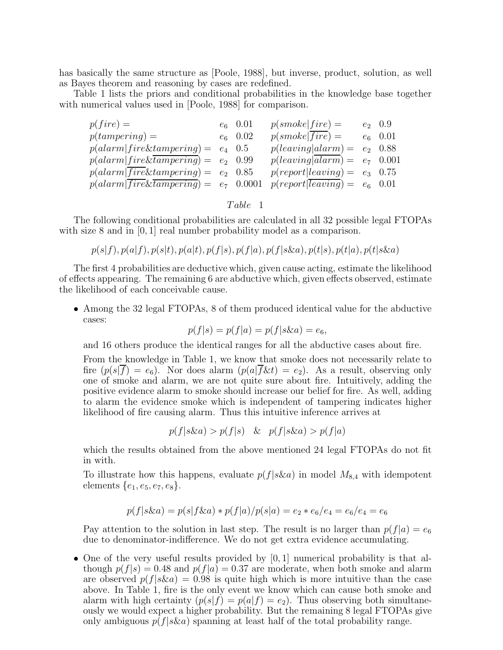has basically the same structure as [Poole, 1988], but inverse, product, solution, as well as Bayes theorem and reasoning by cases are redefined.

Table 1 lists the priors and conditional probabilities in the knowledge base together with numerical values used in [Poole, 1988] for comparison.

 $p(fire) =$   $e_6 \quad 0.01 \qquad p(smoke|fire) =$   $e_2 \quad 0.9$  $p(tampering) =$   $e_6 \quad 0.02 \qquad p(smoke|\overline{fire}) =$   $e_6 \quad 0.01$  $p(alarm|fire\&tampering) = e_4$  0*.*5  $p(leaving|alarm) = e_2$  0*.*88  $p(alarm|fire \& \overline{tampering}) = e_2$  0*.*99  $p(leaving| \overline{alarm}) = e_7$  0*.*001  $p(alarm | \overline{fire} \& tampering) = e_2 \quad 0.85 \qquad p(report | leaving) = e_3 \quad 0.75$  $p(alarm | \overline{fire \& tampering}) = e_7$  0*.*0001  $p(report | \overline{leaving}) = e_6$  0*.*01

#### *T able* 1

The following conditional probabilities are calculated in all 32 possible legal FTOPAs with size 8 and in [0, 1] real number probability model as a comparison.

$$
p(s|f), p(a|f), p(s|t), p(a|t), p(f|s), p(f|a), p(f|s\&a), p(t|s), p(t|a), p(t|s\&a)
$$

The first 4 probabilities are deductive which, given cause acting, estimate the likelihood of effects appearing. The remaining 6 are abductive which, given effects observed, estimate the likelihood of each conceivable cause.

• Among the 32 legal FTOPAs, 8 of them produced identical value for the abductive cases:

$$
p(f|s) = p(f|a) = p(f|s\&a) = e_6,
$$

and 16 others produce the identical ranges for all the abductive cases about fire.

From the knowledge in Table 1, we know that smoke does not necessarily relate to fire  $(p(s|\overline{f}) = e_6)$ . Nor does alarm  $(p(a|\overline{f} \& t) = e_2)$ . As a result, observing only one of smoke and alarm, we are not quite sure about fire. Intuitively, adding the positive evidence alarm to smoke should increase our belief for fire. As well, adding to alarm the evidence smoke which is independent of tampering indicates higher likelihood of fire causing alarm. Thus this intuitive inference arrives at

$$
p(f|s\&a) > p(f|s) \quad \& \quad p(f|s\&a) > p(f|a)
$$

which the results obtained from the above mentioned 24 legal FTOPAs do not fit in with.

To illustrate how this happens, evaluate  $p(f|s\&a)$  in model  $M_{8,4}$  with idempotent elements  $\{e_1, e_5, e_7, e_8\}.$ 

$$
p(f|s\&a) = p(s|f\&a) * p(f|a)/p(s|a) = e_2 * e_6/e_4 = e_6/e_4 = e_6
$$

Pay attention to the solution in last step. The result is no larger than  $p(f|a) = e_6$ due to denominator-indifference. We do not get extra evidence accumulating.

• One of the very useful results provided by [0*,* 1] numerical probability is that although  $p(f|s) = 0.48$  and  $p(f|a) = 0.37$  are moderate, when both smoke and alarm are observed  $p(f|s\&a) = 0.98$  is quite high which is more intuitive than the case above. In Table 1, fire is the only event we know which can cause both smoke and alarm with high certainty  $(p(s|f) = p(a|f) = e_2)$ . Thus observing both simultaneously we would expect a higher probability. But the remaining 8 legal FTOPAs give only ambiguous  $p(f|s\&a)$  spanning at least half of the total probability range.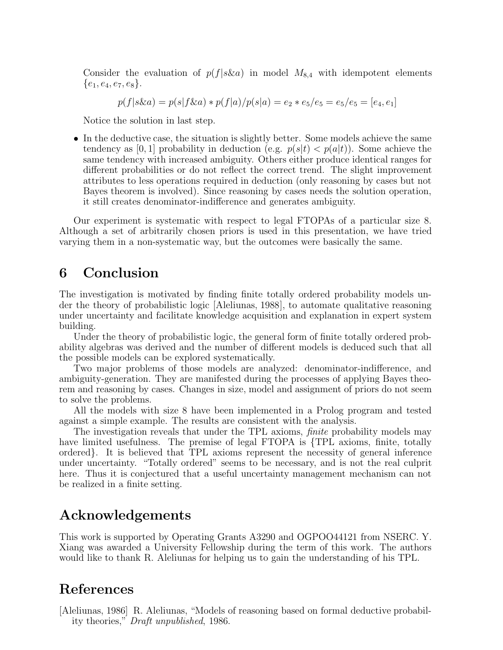Consider the evaluation of  $p(f|s\&a)$  in model  $M_{8,4}$  with idempotent elements  ${e_1, e_4, e_7, e_8}.$ 

 $p(f|s\&a) = p(s|f\&a) * p(f|a)/p(s|a) = e_2 * e_5/e_5 = e_5/e_5 = [e_4, e_1]$ 

Notice the solution in last step.

• In the deductive case, the situation is slightly better. Some models achieve the same tendency as [0, 1] probability in deduction (e.g.  $p(s|t) < p(a|t)$ ). Some achieve the same tendency with increased ambiguity. Others either produce identical ranges for different probabilities or do not reflect the correct trend. The slight improvement attributes to less operations required in deduction (only reasoning by cases but not Bayes theorem is involved). Since reasoning by cases needs the solution operation, it still creates denominator-indifference and generates ambiguity.

Our experiment is systematic with respect to legal FTOPAs of a particular size 8. Although a set of arbitrarily chosen priors is used in this presentation, we have tried varying them in a non-systematic way, but the outcomes were basically the same.

### **6 Conclusion**

The investigation is motivated by finding finite totally ordered probability models under the theory of probabilistic logic [Aleliunas, 1988], to automate qualitative reasoning under uncertainty and facilitate knowledge acquisition and explanation in expert system building.

Under the theory of probabilistic logic, the general form of finite totally ordered probability algebras was derived and the number of different models is deduced such that all the possible models can be explored systematically.

Two major problems of those models are analyzed: denominator-indifference, and ambiguity-generation. They are manifested during the processes of applying Bayes theorem and reasoning by cases. Changes in size, model and assignment of priors do not seem to solve the problems.

All the models with size 8 have been implemented in a Prolog program and tested against a simple example. The results are consistent with the analysis.

The investigation reveals that under the TPL axioms, *finite* probability models may have limited usefulness. The premise of legal FTOPA is  $\{TPL \text{ axioms}, \text{finite}, \text{totally} \}$ ordered}. It is believed that TPL axioms represent the necessity of general inference under uncertainty. "Totally ordered" seems to be necessary, and is not the real culprit here. Thus it is conjectured that a useful uncertainty management mechanism can not be realized in a finite setting.

## **Acknowledgements**

This work is supported by Operating Grants A3290 and OGPOO44121 from NSERC. Y. Xiang was awarded a University Fellowship during the term of this work. The authors would like to thank R. Aleliunas for helping us to gain the understanding of his TPL.

## **References**

[Aleliunas, 1986] R. Aleliunas, "Models of reasoning based on formal deductive probability theories," *Draft unpublished*, 1986.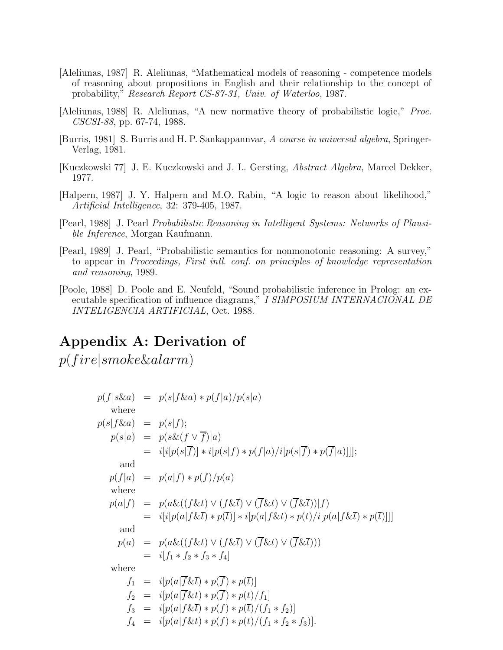- [Aleliunas, 1987] R. Aleliunas, "Mathematical models of reasoning competence models of reasoning about propositions in English and their relationship to the concept of probability," *Research Report CS-87-31, Univ. of Waterloo*, 1987.
- [Aleliunas, 1988] R. Aleliunas, "A new normative theory of probabilistic logic," *Proc. CSCSI-88*, pp. 67-74, 1988.
- [Burris, 1981] S. Burris and H. P. Sankappannvar, *A course in universal algebra*, Springer-Verlag, 1981.
- [Kuczkowski 77] J. E. Kuczkowski and J. L. Gersting, *Abstract Algebra*, Marcel Dekker, 1977.
- [Halpern, 1987] J. Y. Halpern and M.O. Rabin, "A logic to reason about likelihood," *Artificial Intelligence*, 32: 379-405, 1987.
- [Pearl, 1988] J. Pearl *Probabilistic Reasoning in Intelligent Systems: Networks of Plausible Inference*, Morgan Kaufmann.
- [Pearl, 1989] J. Pearl, "Probabilistic semantics for nonmonotonic reasoning: A survey," to appear in *Proceedings, First intl. conf. on principles of knowledge representation and reasoning*, 1989.
- [Poole, 1988] D. Poole and E. Neufeld, "Sound probabilistic inference in Prolog: an executable specification of influence diagrams," *I SIMPOSIUM INTERNACIONAL DE INTELIGENCIA ARTIFICIAL*, Oct. 1988.

### **Appendix A: Derivation of**

*p*(*f ire*|*smoke*&*alarm*)

|                       | $p(f s\&a) = p(s f\&a) * p(f a)/p(s a)$                                                                                |
|-----------------------|------------------------------------------------------------------------------------------------------------------------|
| where                 |                                                                                                                        |
| $p(s f\&a) = p(s f);$ |                                                                                                                        |
|                       | $p(s a) = p(s\&(f \vee f) a)$                                                                                          |
|                       | $= i[i[p(s f)] * i[p(s f) * p(f a)/i[p(s f) * p(f a)]]];$                                                              |
| and                   |                                                                                                                        |
|                       | $p(f a) = p(a f) * p(f)/p(a)$                                                                                          |
| where                 |                                                                                                                        |
|                       | $p(a f) = p(a\&((f \& t) \vee (f \& \overline{t}) \vee (f \& t) \vee (\overline{f} \& \overline{t})) f)$               |
|                       | $= i[i[p(a f \& \overline{t}) * p(\overline{t})] * i[p(a f \& t) * p(t)/i[p(a f \& \overline{t}) * p(\overline{t})]]]$ |
| and                   |                                                                                                                        |
|                       | $p(a) = p(a\&((f \& t) \vee (f \& \overline{t}) \vee (\overline{f} \& t) \vee (\overline{f} \& \overline{t})))$        |
|                       | $= i[f_1 * f_2 * f_3 * f_4]$                                                                                           |
| where                 |                                                                                                                        |
|                       | $f_1 = i[p(a f \& \overline{t}) * p(f) * p(\overline{t})]$                                                             |
|                       | $f_2 = i[p(a]\overline{f}\&t) * p(\overline{f}) * p(t)/f_1]$                                                           |
|                       | $f_3 = i[p(a f \& \bar{t}) * p(f) * p(\bar{t})/(f_1 * f_2)]$                                                           |
|                       | $f_4 = i[p(a f \& t) * p(f) * p(t)/(f_1 * f_2 * f_3)].$                                                                |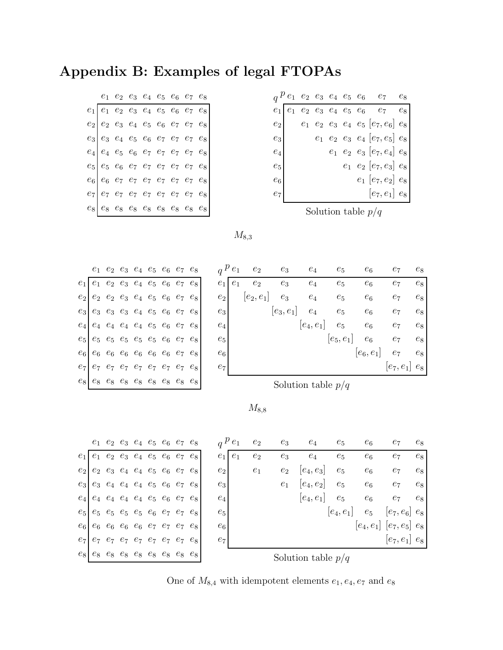# **Appendix B: Examples of legal FTOPAs**

|                                                                                                  |  |  | $e_1$ $e_2$ $e_3$ $e_4$ $e_5$ $e_6$ $e_7$ $e_8$ |  |
|--------------------------------------------------------------------------------------------------|--|--|-------------------------------------------------|--|
| $e_1\begin{vmatrix} e_1 & e_2 & e_3 & e_4 & e_5 & e_6 & e_7 & e_8 \end{vmatrix}$                 |  |  |                                                 |  |
| $e_2\Big \ e_2\ \ e_3\ \ e_4\ \ e_5\ \ e_6\ \ e_7\ \ e_7\ \ e_8\Big $                            |  |  |                                                 |  |
| $e_3 \begin{vmatrix} e_3 & e_4 & e_5 & e_6 & e_7 & e_7 & e_7 & e_8 \end{vmatrix}$                |  |  |                                                 |  |
| $e_4\begin{vmatrix} e_4 & e_5 & e_6 & e_7 & e_7 & e_7 & e_7 & e_8 \end{vmatrix}$                 |  |  |                                                 |  |
| $e_5$ $e_5$ $e_6$ $e_7$ $e_7$ $e_7$ $e_7$ $e_7$ $e_8$                                            |  |  |                                                 |  |
| $e_6\, \big  \, e_6 \, \, e_7 \, \, e_7 \, \, e_7 \, \, e_7 \, \, e_7 \, \, e_7 \, \, e_8 \big $ |  |  |                                                 |  |
| $e_7\,   \, e_7 \,   \, e_7 \,   \, e_7 \,   \, e_7 \,   \, e_7 \,   \, e_7 \,   \, e_8\,   \,$  |  |  |                                                 |  |
| $e_8$ $e_8$ $e_8$ $e_8$ $e_8$ $e_8$ $e_8$ $e_8$ $e_8$ $e_8$                                      |  |  |                                                 |  |

|       |       |  |  | $q\ ^{p}\,e_{1}\,$ $e_{2}$ $\ e_{3}$ $e_{4}$ $e_{5}$ $e_{6}$ $\quad e_{7}$ $\quad e_{8}$ |  |
|-------|-------|--|--|------------------------------------------------------------------------------------------|--|
|       |       |  |  | $e_1$ $e_1$ $e_2$ $e_3$ $e_4$ $e_5$ $e_6$ $e_7$ $e_8$                                    |  |
|       | $e_2$ |  |  | $e_1$ $e_2$ $e_3$ $e_4$ $e_5$ $[e_7, e_6]$ $e_8$                                         |  |
|       |       |  |  | $e_3$ $e_1$ $e_2$ $e_3$ $e_4$ $[e_7, e_5]$ $e_8$                                         |  |
| $e_4$ |       |  |  | $e_1$ $e_2$ $e_3$ $[e_7, e_4]$ $e_8$                                                     |  |
| $e_5$ |       |  |  | $e_1$ $e_2$ $[e_7, e_3]$ $e_8$                                                           |  |
| $e_6$ |       |  |  | $e_1$ [ $e_7, e_2$ ] $e_8$                                                               |  |
| $e_7$ |       |  |  | $[e_7, e_1]$ $e_8$                                                                       |  |

Solution table *p/q*

*M*8,<sup>3</sup>

|                                                                                                                |  |  | $e_1$ $e_2$ $e_3$ $e_4$ $e_5$ $e_6$ $e_7$ $e_8$ |  |
|----------------------------------------------------------------------------------------------------------------|--|--|-------------------------------------------------|--|
| $e_1$ $e_1$ $e_2$ $e_3$ $e_4$ $e_5$ $e_6$ $e_7$ $e_8$                                                          |  |  |                                                 |  |
| $e_2\Big \,e_2\,$ $e_2\,$ $e_3\,$ $e_4\,$ $e_5\,$ $e_6\,$ $e_7\,$ $e_8\Big $                                   |  |  |                                                 |  |
| $e_3$ $e_3$ $e_3$ $e_3$ $e_4$ $e_5$ $e_6$ $e_7$ $e_8$                                                          |  |  |                                                 |  |
| $e_4 \begin{vmatrix} e_4 & e_4 & e_4 & e_4 & e_5 & e_6 & e_7 & e_8 \end{vmatrix}$                              |  |  |                                                 |  |
| $e_5$ $e_5$ $e_5$ $e_5$ $e_5$ $e_5$ $e_6$ $e_7$ $e_8$                                                          |  |  |                                                 |  |
| $e_6$ $e_6$ $e_6$ $e_6$ $e_6$ $e_6$ $e_6$ $e_7$ $e_8$                                                          |  |  |                                                 |  |
|                                                                                                                |  |  |                                                 |  |
| $e_7$ $e_7$ $e_7$ $e_7$ $e_7$ $e_7$ $e_7$ $e_7$ $e_8$<br>$e_8$ $e_8$ $e_8$ $e_8$ $e_8$ $e_8$ $e_8$ $e_8$ $e_8$ |  |  |                                                 |  |

| $e_2$ |                          |                      | $e_5$                                              | $e_6$              | $e_7$              | $e_8$              |
|-------|--------------------------|----------------------|----------------------------------------------------|--------------------|--------------------|--------------------|
| $e_2$ |                          |                      | $e_5$                                              | $e_6$              | $e_7$              | $\mathfrak{e}_8$   |
|       | $e_3$                    |                      | $e_5$                                              | $e_6$              | $e_7$              | $\mathfrak{e}_8$   |
|       |                          |                      | $e_5$                                              | $\boldsymbol{e}_6$ | $e_7$              | $\mathfrak{e}_8$   |
|       |                          |                      |                                                    | $\mathfrak{e}_6$   | $e_7$              | $\mathfrak{e}_8$   |
|       |                          |                      |                                                    | $e_6$              | $e_7$              | $\boldsymbol{e_8}$ |
|       |                          |                      |                                                    |                    | $e_7$              | $e_8$              |
|       |                          |                      |                                                    |                    | $[e_7, e_1]$ $e_8$ |                    |
|       | $q^p e_1$<br>$e_1$ $e_1$ | $e_3$<br>$[e_2,e_1]$ | $e_3$ $e_4$<br>$e_4$<br>$e_4$<br>$[e_3,e_1]$ $e_4$ | $[e_4,e_1]$ $e_5$  | $[e_5, e_1]$       | $[e_6,e_1]$        |

Solution table *p/q*



|                                                                                                                                                                                                                                                                                               |  |  | $e_1$ $e_2$ $e_3$ $e_4$ $e_5$ $e_6$ $e_7$ $e_8$ |  |            |
|-----------------------------------------------------------------------------------------------------------------------------------------------------------------------------------------------------------------------------------------------------------------------------------------------|--|--|-------------------------------------------------|--|------------|
|                                                                                                                                                                                                                                                                                               |  |  |                                                 |  |            |
| $e_1$ $e_1$ $e_2$ $e_3$ $e_4$ $e_5$ $e_6$ $e_7$ $e_8$<br>$e_2$ $e_2$ $e_3$ $e_4$ $e_4$ $e_5$ $e_6$ $e_7$ $e_8$                                                                                                                                                                                |  |  |                                                 |  |            |
| $e_3$ $e_3$ $e_4$ $e_4$ $e_4$ $e_5$ $e_6$ $e_7$ $e_8$                                                                                                                                                                                                                                         |  |  |                                                 |  |            |
|                                                                                                                                                                                                                                                                                               |  |  |                                                 |  |            |
|                                                                                                                                                                                                                                                                                               |  |  |                                                 |  |            |
|                                                                                                                                                                                                                                                                                               |  |  |                                                 |  |            |
|                                                                                                                                                                                                                                                                                               |  |  |                                                 |  | $\epsilon$ |
| $\begin{array}{c cccccc} e_4 & e_4 & e_4 & e_4 & e_5 & e_6 & e_7 & e_8 \\ e_5 & e_5 & e_5 & e_5 & e_6 & e_7 & e_7 & e_8 \\ e_6 & e_6 & e_6 & e_6 & e_7 & e_7 & e_7 & e_8 \\ e_7 & e_7 & e_7 & e_7 & e_7 & e_7 & e_7 & e_8 \\ e_8 & e_8 & e_8 & e_8 & e_8 & e_8 & e_8 & e_8 & e_8 \end{array}$ |  |  |                                                 |  |            |

|                               | $q^{\ p}$ e1 | $e_2$          | $e_3$ | $e_4$                | $e_5$       | $e_6$   | $e_7$                       | $e_8$ |
|-------------------------------|--------------|----------------|-------|----------------------|-------------|---------|-----------------------------|-------|
|                               | $e_1$ $e_1$  | e <sub>2</sub> | $e_3$ | $e_4$ $e_5$          |             | $e_6$   | $e_7$                       | $e_8$ |
| $\left\vert e_{2}\right\vert$ |              | $e_1$          |       | $e_2$ [ $e_4, e_3$ ] | $e_5$       | $e_6$   | $e_7$                       | $e_8$ |
| $e_3$                         |              |                |       | $e_1$ $[e_4, e_2]$   | $e_5$       | $e_6\,$ | $e_7$                       | $e_8$ |
| $e_4$                         |              |                |       | $[e_4, e_1]$ $e_5$   |             | $e_6$   | $e_7$                       | $e_8$ |
| $e_5$                         |              |                |       |                      | $[e_4,e_1]$ |         | $e_5$ $[e_7, e_6]$ $e_8$    |       |
| $e_6$                         |              |                |       |                      |             |         | $[e_4, e_1] [e_7, e_5] e_8$ |       |
| $e_7$                         |              |                |       |                      |             |         | $[e_7, e_1]$ $e_8$          |       |
|                               |              |                |       |                      |             |         |                             |       |

Solution table *p/q*

One of  $M_{8,4}$  with idempotent elements  $e_1, e_4, e_7$  and  $e_8$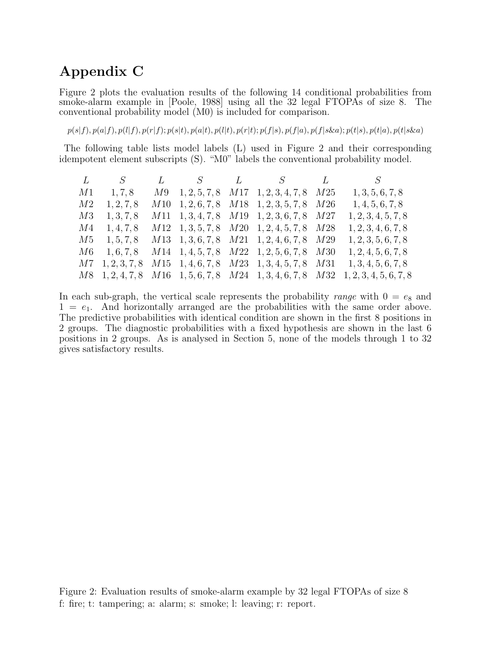## **Appendix C**

Figure 2 plots the evaluation results of the following 14 conditional probabilities from smoke-alarm example in [Poole, 1988] using all the 32 legal FTOPAs of size 8. The conventional probability model (M0) is included for comparison.

 $p(s|f), p(a|f), p(l|f), p(r|f); p(s|t), p(a|t), p(l|t), p(r|t); p(f|s), p(f|a), p(f|s \& a); p(t|s), p(t|a), p(t|s \& a)$ 

The following table lists model labels (L) used in Figure 2 and their corresponding idempotent element subscripts (S). "M0" labels the conventional probability model.

|    |                    |    |  |                                                                                             |     | $L$ $S$ $L$ $S$ $L$ $S$ $L$ $S$ |
|----|--------------------|----|--|---------------------------------------------------------------------------------------------|-----|---------------------------------|
| M1 | 1, 7, 8            | M9 |  | $1, 2, 5, 7, 8$ $M17$ $1, 2, 3, 4, 7, 8$ $M25$                                              |     | 1, 3, 5, 6, 7, 8                |
| M2 | 1, 2, 7, 8         |    |  | $M10$ 1, 2, 6, 7, 8 $M18$ 1, 2, 3, 5, 7, 8                                                  | M26 | 1, 4, 5, 6, 7, 8                |
| M3 | 1, 3, 7, 8         |    |  | $M11 \quad 1, 3, 4, 7, 8 \quad M19 \quad 1, 2, 3, 6, 7, 8 \quad M27$                        |     | 1, 2, 3, 4, 5, 7, 8             |
| M4 | 1, 4, 7, 8         |    |  | $M12$ 1, 3, 5, 7, 8 $M20$ 1, 2, 4, 5, 7, 8 $M28$                                            |     | 1, 2, 3, 4, 6, 7, 8             |
| M5 | 1, 5, 7, 8         |    |  | $M13$ 1, 3, 6, 7, 8 $M21$ 1, 2, 4, 6, 7, 8 $M29$                                            |     | 1, 2, 3, 5, 6, 7, 8             |
| M6 | 1, 6, 7, 8         |    |  | $M14$ 1, 4, 5, 7, 8 $M22$ 1, 2, 5, 6, 7, 8                                                  | M30 | 1, 2, 4, 5, 6, 7, 8             |
|    | $M7$ 1, 2, 3, 7, 8 |    |  | $M15$ 1, 4, 6, 7, 8 $M23$ 1, 3, 4, 5, 7, 8                                                  | M31 | 1, 3, 4, 5, 6, 7, 8             |
|    |                    |    |  | <i>M</i> 8 1, 2, 4, 7, 8 <i>M</i> 16 1, 5, 6, 7, 8 <i>M</i> 24 1, 3, 4, 6, 7, 8 <i>M</i> 32 |     | 1, 2, 3, 4, 5, 6, 7, 8          |

In each sub-graph, the vertical scale represents the probability *range* with  $0 = e_8$  and  $1 = e_1$ . And horizontally arranged are the probabilities with the same order above. The predictive probabilities with identical condition are shown in the first 8 positions in 2 groups. The diagnostic probabilities with a fixed hypothesis are shown in the last 6 positions in 2 groups. As is analysed in Section 5, none of the models through 1 to 32 gives satisfactory results.

Figure 2: Evaluation results of smoke-alarm example by 32 legal FTOPAs of size 8 f: fire; t: tampering; a: alarm; s: smoke; l: leaving; r: report.